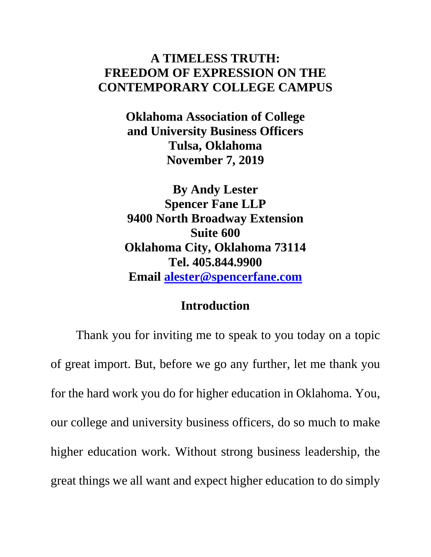# **A TIMELESS TRUTH: FREEDOM OF EXPRESSION ON THE CONTEMPORARY COLLEGE CAMPUS**

**Oklahoma Association of College and University Business Officers Tulsa, Oklahoma November 7, 2019**

**By Andy Lester Spencer Fane LLP 9400 North Broadway Extension Suite 600 Oklahoma City, Oklahoma 73114 Tel. 405.844.9900 Email [alester@spencerfane.com](mailto:alester@spencerfane.com)**

### **Introduction**

Thank you for inviting me to speak to you today on a topic of great import. But, before we go any further, let me thank you for the hard work you do for higher education in Oklahoma. You, our college and university business officers, do so much to make higher education work. Without strong business leadership, the great things we all want and expect higher education to do simply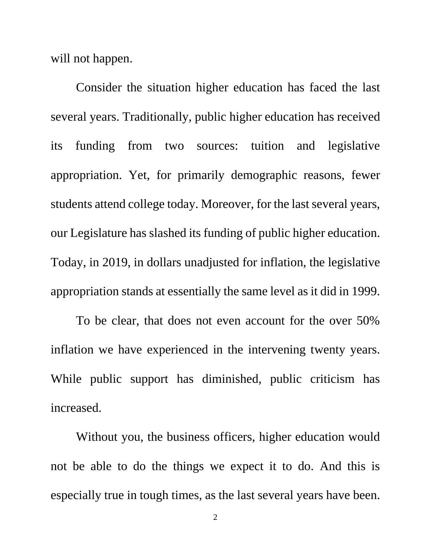will not happen.

Consider the situation higher education has faced the last several years. Traditionally, public higher education has received its funding from two sources: tuition and legislative appropriation. Yet, for primarily demographic reasons, fewer students attend college today. Moreover, for the last several years, our Legislature has slashed its funding of public higher education. Today, in 2019, in dollars unadjusted for inflation, the legislative appropriation stands at essentially the same level as it did in 1999.

To be clear, that does not even account for the over 50% inflation we have experienced in the intervening twenty years. While public support has diminished, public criticism has increased.

Without you, the business officers, higher education would not be able to do the things we expect it to do. And this is especially true in tough times, as the last several years have been.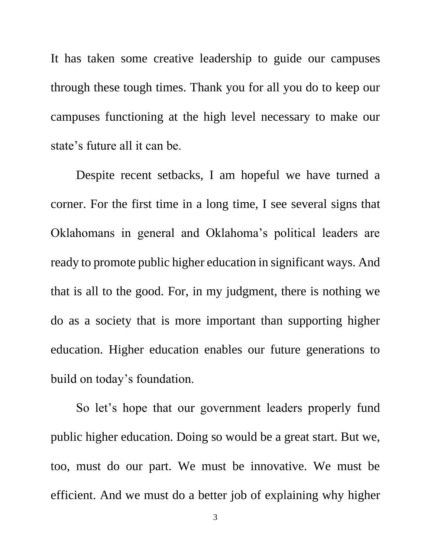It has taken some creative leadership to guide our campuses through these tough times. Thank you for all you do to keep our campuses functioning at the high level necessary to make our state's future all it can be.

Despite recent setbacks, I am hopeful we have turned a corner. For the first time in a long time, I see several signs that Oklahomans in general and Oklahoma's political leaders are ready to promote public higher education in significant ways. And that is all to the good. For, in my judgment, there is nothing we do as a society that is more important than supporting higher education. Higher education enables our future generations to build on today's foundation.

So let's hope that our government leaders properly fund public higher education. Doing so would be a great start. But we, too, must do our part. We must be innovative. We must be efficient. And we must do a better job of explaining why higher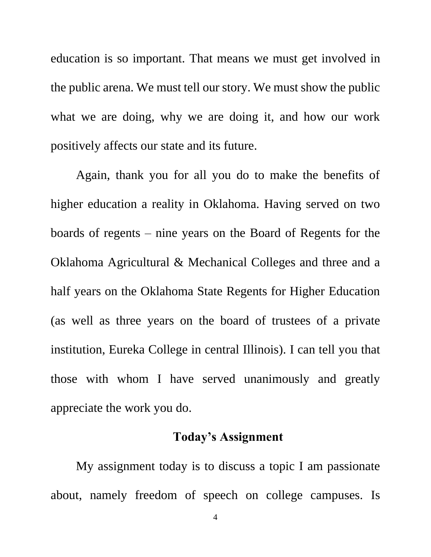education is so important. That means we must get involved in the public arena. We must tell our story. We must show the public what we are doing, why we are doing it, and how our work positively affects our state and its future.

Again, thank you for all you do to make the benefits of higher education a reality in Oklahoma. Having served on two boards of regents – nine years on the Board of Regents for the Oklahoma Agricultural & Mechanical Colleges and three and a half years on the Oklahoma State Regents for Higher Education (as well as three years on the board of trustees of a private institution, Eureka College in central Illinois). I can tell you that those with whom I have served unanimously and greatly appreciate the work you do.

# **Today's Assignment**

My assignment today is to discuss a topic I am passionate about, namely freedom of speech on college campuses. Is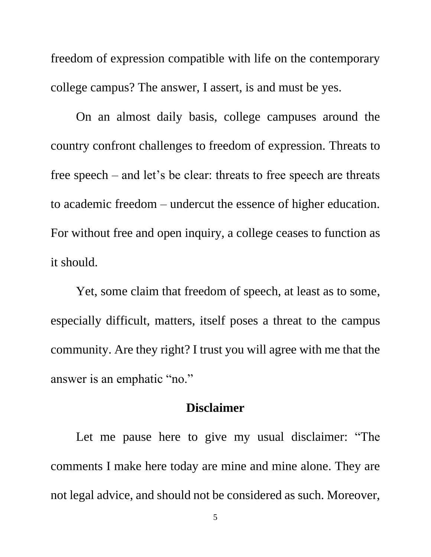freedom of expression compatible with life on the contemporary college campus? The answer, I assert, is and must be yes.

On an almost daily basis, college campuses around the country confront challenges to freedom of expression. Threats to free speech – and let's be clear: threats to free speech are threats to academic freedom – undercut the essence of higher education. For without free and open inquiry, a college ceases to function as it should.

Yet, some claim that freedom of speech, at least as to some, especially difficult, matters, itself poses a threat to the campus community. Are they right? I trust you will agree with me that the answer is an emphatic "no."

## **Disclaimer**

Let me pause here to give my usual disclaimer: "The comments I make here today are mine and mine alone. They are not legal advice, and should not be considered as such. Moreover,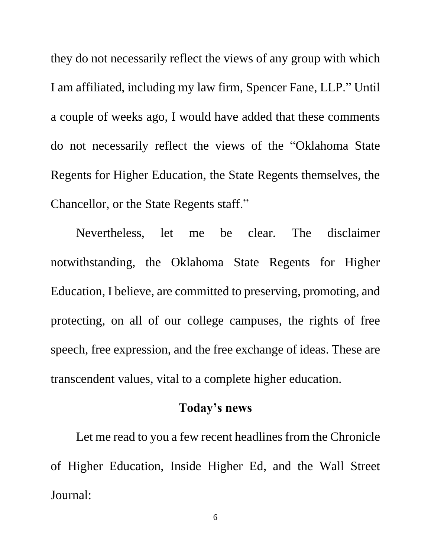they do not necessarily reflect the views of any group with which I am affiliated, including my law firm, Spencer Fane, LLP." Until a couple of weeks ago, I would have added that these comments do not necessarily reflect the views of the "Oklahoma State Regents for Higher Education, the State Regents themselves, the Chancellor, or the State Regents staff."

Nevertheless, let me be clear. The disclaimer notwithstanding, the Oklahoma State Regents for Higher Education, I believe, are committed to preserving, promoting, and protecting, on all of our college campuses, the rights of free speech, free expression, and the free exchange of ideas. These are transcendent values, vital to a complete higher education.

### **Today's news**

Let me read to you a few recent headlines from the Chronicle of Higher Education, Inside Higher Ed, and the Wall Street Journal:

6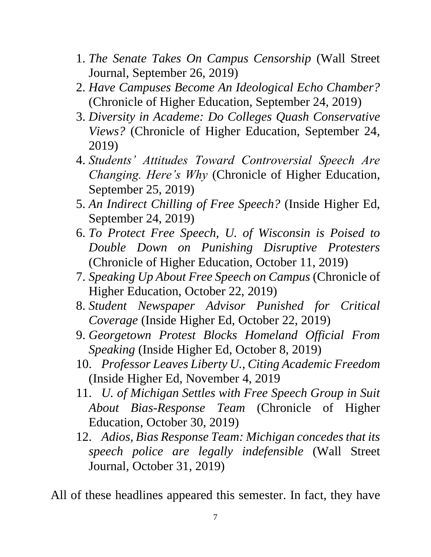- 1. *The Senate Takes On Campus Censorship* (Wall Street Journal, September 26, 2019)
- 2. *Have Campuses Become An Ideological Echo Chamber?*  (Chronicle of Higher Education, September 24, 2019)
- 3. *Diversity in Academe: Do Colleges Quash Conservative Views?* (Chronicle of Higher Education, September 24, 2019)
- 4. *Students' Attitudes Toward Controversial Speech Are Changing. Here's Why* (Chronicle of Higher Education, September 25, 2019)
- 5. *An Indirect Chilling of Free Speech?* (Inside Higher Ed, September 24, 2019)
- 6. *To Protect Free Speech, U. of Wisconsin is Poised to Double Down on Punishing Disruptive Protesters* (Chronicle of Higher Education, October 11, 2019)
- 7. *Speaking Up About Free Speech on Campus* (Chronicle of Higher Education, October 22, 2019)
- 8. *Student Newspaper Advisor Punished for Critical Coverage* (Inside Higher Ed, October 22, 2019)
- 9. *Georgetown Protest Blocks Homeland Official From Speaking* (Inside Higher Ed, October 8, 2019)
- 10. *Professor Leaves Liberty U., Citing Academic Freedom* (Inside Higher Ed, November 4, 2019
- 11. *U. of Michigan Settles with Free Speech Group in Suit About Bias-Response Team* (Chronicle of Higher Education, October 30, 2019)
- 12. *Adios, Bias Response Team: Michigan concedes that its speech police are legally indefensible* (Wall Street Journal, October 31, 2019)

All of these headlines appeared this semester. In fact, they have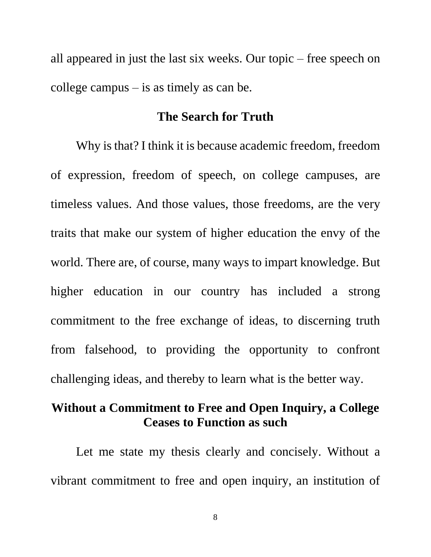all appeared in just the last six weeks. Our topic – free speech on college campus – is as timely as can be.

### **The Search for Truth**

Why is that? I think it is because academic freedom, freedom of expression, freedom of speech, on college campuses, are timeless values. And those values, those freedoms, are the very traits that make our system of higher education the envy of the world. There are, of course, many ways to impart knowledge. But higher education in our country has included a strong commitment to the free exchange of ideas, to discerning truth from falsehood, to providing the opportunity to confront challenging ideas, and thereby to learn what is the better way.

# **Without a Commitment to Free and Open Inquiry, a College Ceases to Function as such**

Let me state my thesis clearly and concisely. Without a vibrant commitment to free and open inquiry, an institution of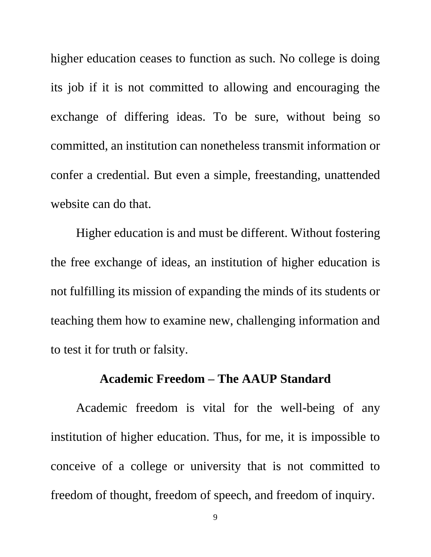higher education ceases to function as such. No college is doing its job if it is not committed to allowing and encouraging the exchange of differing ideas. To be sure, without being so committed, an institution can nonetheless transmit information or confer a credential. But even a simple, freestanding, unattended website can do that.

Higher education is and must be different. Without fostering the free exchange of ideas, an institution of higher education is not fulfilling its mission of expanding the minds of its students or teaching them how to examine new, challenging information and to test it for truth or falsity.

#### **Academic Freedom – The AAUP Standard**

Academic freedom is vital for the well-being of any institution of higher education. Thus, for me, it is impossible to conceive of a college or university that is not committed to freedom of thought, freedom of speech, and freedom of inquiry.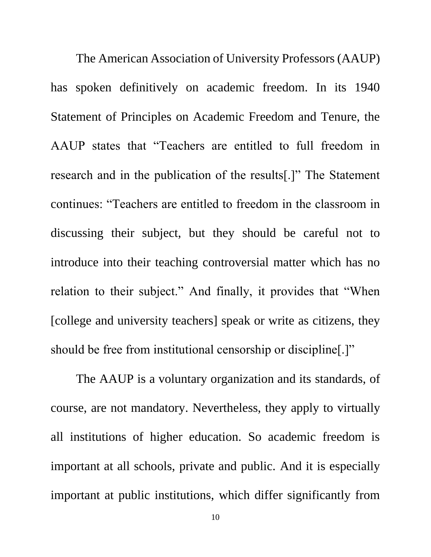The American Association of University Professors (AAUP) has spoken definitively on academic freedom. In its 1940 Statement of Principles on Academic Freedom and Tenure, the AAUP states that "Teachers are entitled to full freedom in research and in the publication of the results[.]" The Statement continues: "Teachers are entitled to freedom in the classroom in discussing their subject, but they should be careful not to introduce into their teaching controversial matter which has no relation to their subject." And finally, it provides that "When [college and university teachers] speak or write as citizens, they should be free from institutional censorship or discipline[.]"

The AAUP is a voluntary organization and its standards, of course, are not mandatory. Nevertheless, they apply to virtually all institutions of higher education. So academic freedom is important at all schools, private and public. And it is especially important at public institutions, which differ significantly from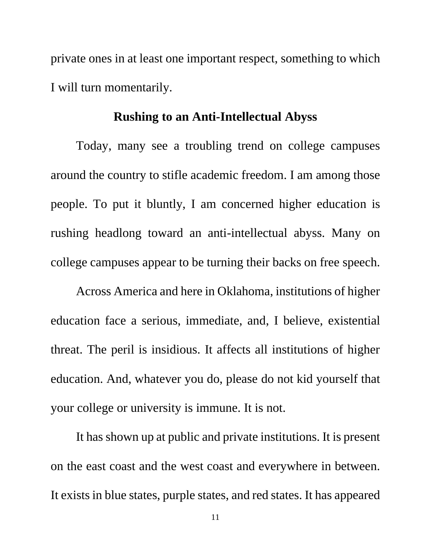private ones in at least one important respect, something to which I will turn momentarily.

#### **Rushing to an Anti-Intellectual Abyss**

Today, many see a troubling trend on college campuses around the country to stifle academic freedom. I am among those people. To put it bluntly, I am concerned higher education is rushing headlong toward an anti-intellectual abyss. Many on college campuses appear to be turning their backs on free speech.

Across America and here in Oklahoma, institutions of higher education face a serious, immediate, and, I believe, existential threat. The peril is insidious. It affects all institutions of higher education. And, whatever you do, please do not kid yourself that your college or university is immune. It is not.

It has shown up at public and private institutions. It is present on the east coast and the west coast and everywhere in between. It exists in blue states, purple states, and red states. It has appeared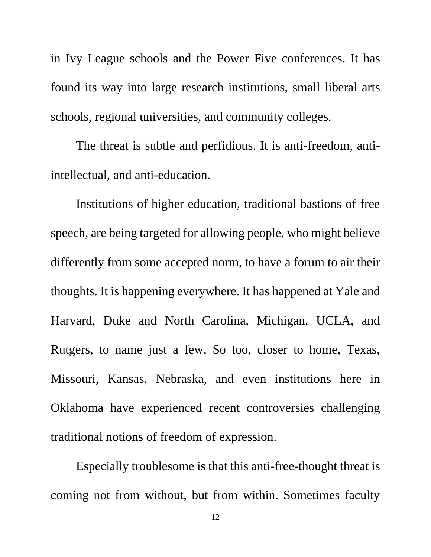in Ivy League schools and the Power Five conferences. It has found its way into large research institutions, small liberal arts schools, regional universities, and community colleges.

The threat is subtle and perfidious. It is anti-freedom, antiintellectual, and anti-education.

Institutions of higher education, traditional bastions of free speech, are being targeted for allowing people, who might believe differently from some accepted norm, to have a forum to air their thoughts. It is happening everywhere. It has happened at Yale and Harvard, Duke and North Carolina, Michigan, UCLA, and Rutgers, to name just a few. So too, closer to home, Texas, Missouri, Kansas, Nebraska, and even institutions here in Oklahoma have experienced recent controversies challenging traditional notions of freedom of expression.

Especially troublesome is that this anti-free-thought threat is coming not from without, but from within. Sometimes faculty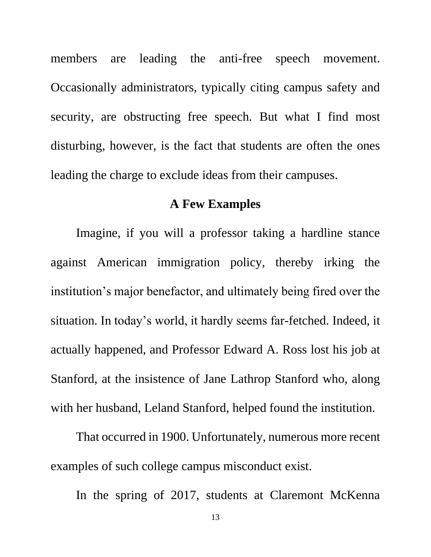members are leading the anti-free speech movement. Occasionally administrators, typically citing campus safety and security, are obstructing free speech. But what I find most disturbing, however, is the fact that students are often the ones leading the charge to exclude ideas from their campuses.

### **A Few Examples**

Imagine, if you will a professor taking a hardline stance against American immigration policy, thereby irking the institution's major benefactor, and ultimately being fired over the situation. In today's world, it hardly seems far-fetched. Indeed, it actually happened, and Professor Edward A. Ross lost his job at Stanford, at the insistence of Jane Lathrop Stanford who, along with her husband, Leland Stanford, helped found the institution.

That occurred in 1900. Unfortunately, numerous more recent examples of such college campus misconduct exist.

In the spring of 2017, students at Claremont McKenna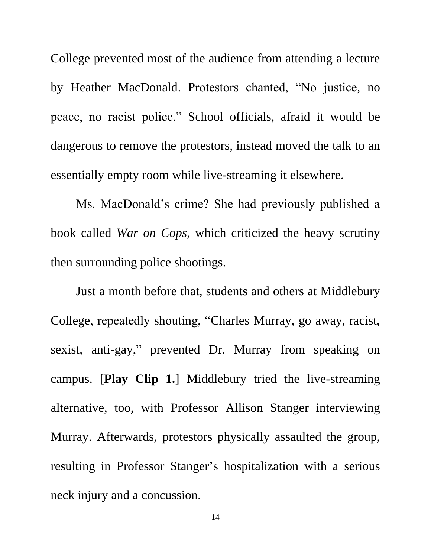College prevented most of the audience from attending a lecture by Heather MacDonald. Protestors chanted, "No justice, no peace, no racist police." School officials, afraid it would be dangerous to remove the protestors, instead moved the talk to an essentially empty room while live-streaming it elsewhere.

Ms. MacDonald's crime? She had previously published a book called *War on Cops*, which criticized the heavy scrutiny then surrounding police shootings.

Just a month before that, students and others at Middlebury College, repeatedly shouting, "Charles Murray, go away, racist, sexist, anti-gay," prevented Dr. Murray from speaking on campus. [**Play Clip 1.**] Middlebury tried the live-streaming alternative, too, with Professor Allison Stanger interviewing Murray. Afterwards, protestors physically assaulted the group, resulting in Professor Stanger's hospitalization with a serious neck injury and a concussion.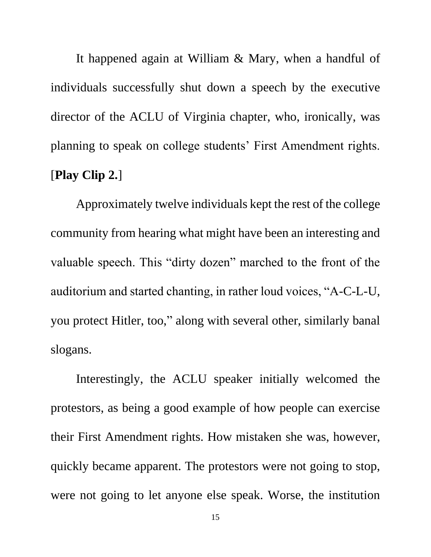It happened again at William & Mary, when a handful of individuals successfully shut down a speech by the executive director of the ACLU of Virginia chapter, who, ironically, was planning to speak on college students' First Amendment rights. [**Play Clip 2.**]

Approximately twelve individuals kept the rest of the college community from hearing what might have been an interesting and valuable speech. This "dirty dozen" marched to the front of the auditorium and started chanting, in rather loud voices, "A-C-L-U, you protect Hitler, too," along with several other, similarly banal slogans.

Interestingly, the ACLU speaker initially welcomed the protestors, as being a good example of how people can exercise their First Amendment rights. How mistaken she was, however, quickly became apparent. The protestors were not going to stop, were not going to let anyone else speak. Worse, the institution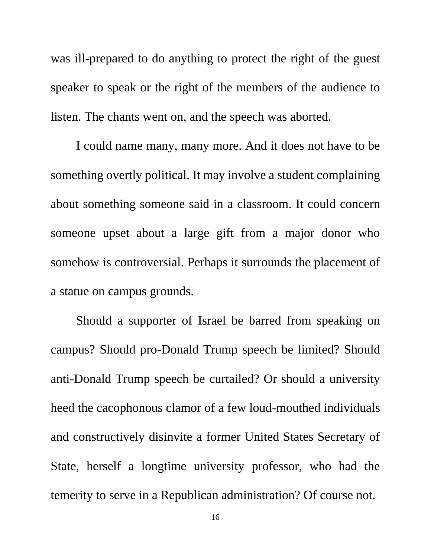was ill-prepared to do anything to protect the right of the guest speaker to speak or the right of the members of the audience to listen. The chants went on, and the speech was aborted.

I could name many, many more. And it does not have to be something overtly political. It may involve a student complaining about something someone said in a classroom. It could concern someone upset about a large gift from a major donor who somehow is controversial. Perhaps it surrounds the placement of a statue on campus grounds.

Should a supporter of Israel be barred from speaking on campus? Should pro-Donald Trump speech be limited? Should anti-Donald Trump speech be curtailed? Or should a university heed the cacophonous clamor of a few loud-mouthed individuals and constructively disinvite a former United States Secretary of State, herself a longtime university professor, who had the temerity to serve in a Republican administration? Of course not.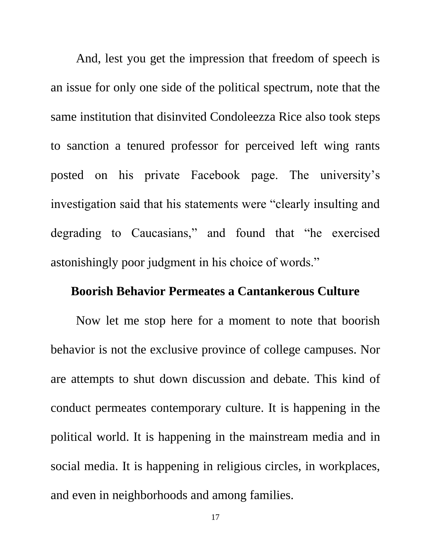And, lest you get the impression that freedom of speech is an issue for only one side of the political spectrum, note that the same institution that disinvited Condoleezza Rice also took steps to sanction a tenured professor for perceived left wing rants posted on his private Facebook page. The university's investigation said that his statements were "clearly insulting and degrading to Caucasians," and found that "he exercised astonishingly poor judgment in his choice of words."

## **Boorish Behavior Permeates a Cantankerous Culture**

Now let me stop here for a moment to note that boorish behavior is not the exclusive province of college campuses. Nor are attempts to shut down discussion and debate. This kind of conduct permeates contemporary culture. It is happening in the political world. It is happening in the mainstream media and in social media. It is happening in religious circles, in workplaces, and even in neighborhoods and among families.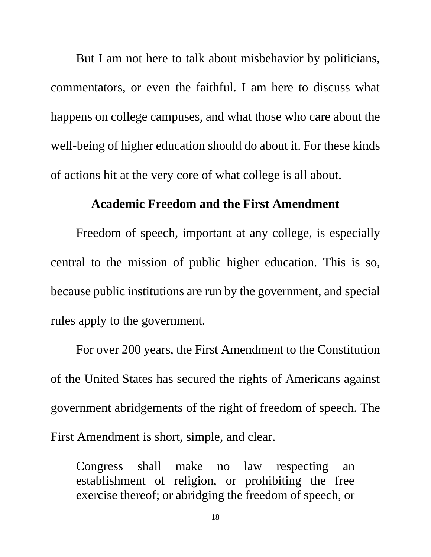But I am not here to talk about misbehavior by politicians, commentators, or even the faithful. I am here to discuss what happens on college campuses, and what those who care about the well-being of higher education should do about it. For these kinds of actions hit at the very core of what college is all about.

### **Academic Freedom and the First Amendment**

Freedom of speech, important at any college, is especially central to the mission of public higher education. This is so, because public institutions are run by the government, and special rules apply to the government.

For over 200 years, the First Amendment to the Constitution of the United States has secured the rights of Americans against government abridgements of the right of freedom of speech. The First Amendment is short, simple, and clear.

Congress shall make no law respecting an establishment of religion, or prohibiting the free exercise thereof; or abridging the freedom of speech, or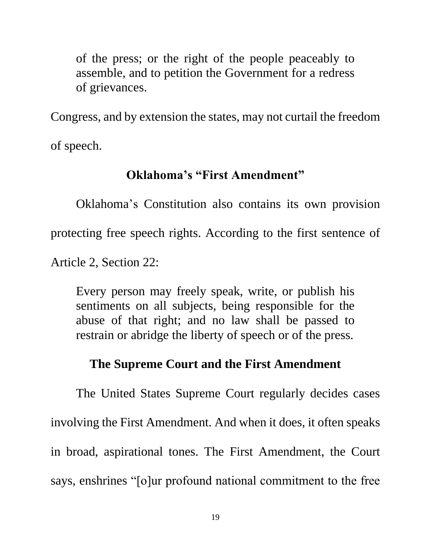of the press; or the right of the people peaceably to assemble, and to petition the Government for a redress of grievances.

Congress, and by extension the states, may not curtail the freedom of speech.

## **Oklahoma's "First Amendment"**

Oklahoma's Constitution also contains its own provision protecting free speech rights. According to the first sentence of Article 2, Section 22:

Every person may freely speak, write, or publish his sentiments on all subjects, being responsible for the abuse of that right; and no law shall be passed to restrain or abridge the liberty of speech or of the press.

# **The Supreme Court and the First Amendment**

The United States Supreme Court regularly decides cases involving the First Amendment. And when it does, it often speaks in broad, aspirational tones. The First Amendment, the Court says, enshrines "[o]ur profound national commitment to the free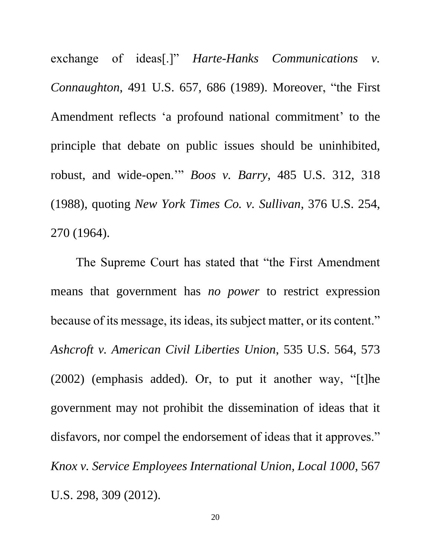exchange of ideas[.]" *Harte-Hanks Communications v. Connaughton*, 491 U.S. 657, 686 (1989). Moreover, "the First Amendment reflects 'a profound national commitment' to the principle that debate on public issues should be uninhibited, robust, and wide-open.'" *Boos v. Barry*, 485 U.S. 312, 318 (1988), quoting *New York Times Co. v. Sullivan*, 376 U.S. 254, 270 (1964).

The Supreme Court has stated that "the First Amendment means that government has *no power* to restrict expression because of its message, its ideas, its subject matter, or its content." *Ashcroft v. American Civil Liberties Union*, 535 U.S. 564, 573 (2002) (emphasis added). Or, to put it another way, "[t]he government may not prohibit the dissemination of ideas that it disfavors, nor compel the endorsement of ideas that it approves." *Knox v. Service Employees International Union, Local 1000*, 567 U.S. 298, 309 (2012).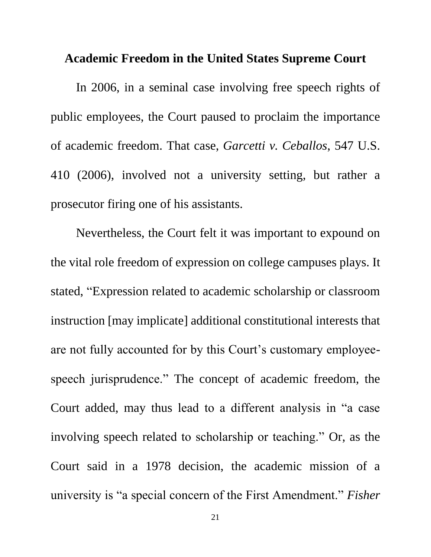#### **Academic Freedom in the United States Supreme Court**

In 2006, in a seminal case involving free speech rights of public employees, the Court paused to proclaim the importance of academic freedom. That case, *Garcetti v. Ceballos*, 547 U.S. 410 (2006), involved not a university setting, but rather a prosecutor firing one of his assistants.

Nevertheless, the Court felt it was important to expound on the vital role freedom of expression on college campuses plays. It stated, "Expression related to academic scholarship or classroom instruction [may implicate] additional constitutional interests that are not fully accounted for by this Court's customary employeespeech jurisprudence." The concept of academic freedom, the Court added, may thus lead to a different analysis in "a case involving speech related to scholarship or teaching." Or, as the Court said in a 1978 decision, the academic mission of a university is "a special concern of the First Amendment." *Fisher*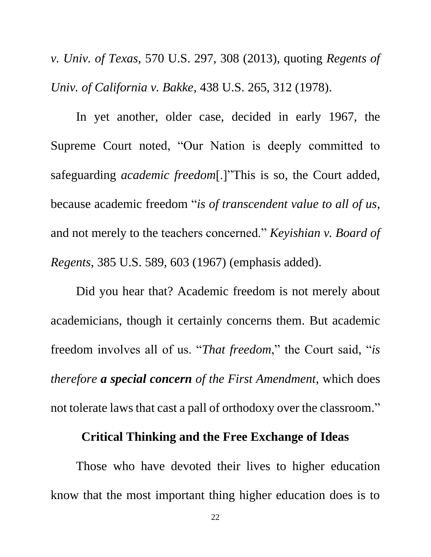*v. Univ. of Texas*, 570 U.S. 297, 308 (2013), quoting *Regents of Univ. of California v. Bakke*, 438 U.S. 265, 312 (1978).

In yet another, older case, decided in early 1967, the Supreme Court noted, "Our Nation is deeply committed to safeguarding *academic freedom*[.]"This is so, the Court added, because academic freedom "*is of transcendent value to all of us*, and not merely to the teachers concerned." *Keyishian v. Board of Regents*, 385 U.S. 589, 603 (1967) (emphasis added).

Did you hear that? Academic freedom is not merely about academicians, though it certainly concerns them. But academic freedom involves all of us. "*That freedom*," the Court said, "*is therefore a special concern of the First Amendment*, which does not tolerate laws that cast a pall of orthodoxy over the classroom."

## **Critical Thinking and the Free Exchange of Ideas**

Those who have devoted their lives to higher education know that the most important thing higher education does is to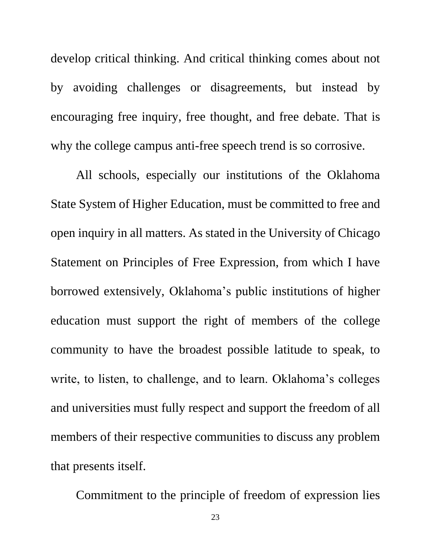develop critical thinking. And critical thinking comes about not by avoiding challenges or disagreements, but instead by encouraging free inquiry, free thought, and free debate. That is why the college campus anti-free speech trend is so corrosive.

All schools, especially our institutions of the Oklahoma State System of Higher Education, must be committed to free and open inquiry in all matters. As stated in the University of Chicago Statement on Principles of Free Expression, from which I have borrowed extensively, Oklahoma's public institutions of higher education must support the right of members of the college community to have the broadest possible latitude to speak, to write, to listen, to challenge, and to learn. Oklahoma's colleges and universities must fully respect and support the freedom of all members of their respective communities to discuss any problem that presents itself.

Commitment to the principle of freedom of expression lies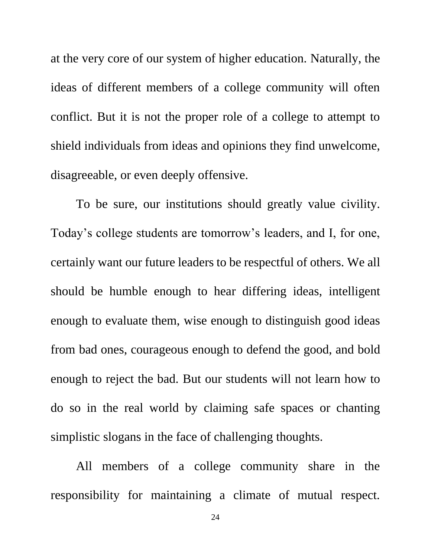at the very core of our system of higher education. Naturally, the ideas of different members of a college community will often conflict. But it is not the proper role of a college to attempt to shield individuals from ideas and opinions they find unwelcome, disagreeable, or even deeply offensive.

To be sure, our institutions should greatly value civility. Today's college students are tomorrow's leaders, and I, for one, certainly want our future leaders to be respectful of others. We all should be humble enough to hear differing ideas, intelligent enough to evaluate them, wise enough to distinguish good ideas from bad ones, courageous enough to defend the good, and bold enough to reject the bad. But our students will not learn how to do so in the real world by claiming safe spaces or chanting simplistic slogans in the face of challenging thoughts.

All members of a college community share in the responsibility for maintaining a climate of mutual respect.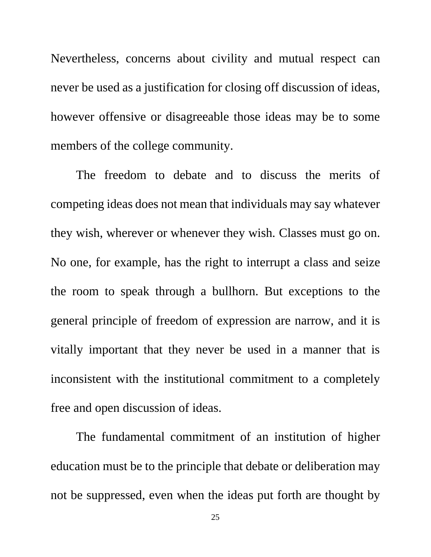Nevertheless, concerns about civility and mutual respect can never be used as a justification for closing off discussion of ideas, however offensive or disagreeable those ideas may be to some members of the college community.

The freedom to debate and to discuss the merits of competing ideas does not mean that individuals may say whatever they wish, wherever or whenever they wish. Classes must go on. No one, for example, has the right to interrupt a class and seize the room to speak through a bullhorn. But exceptions to the general principle of freedom of expression are narrow, and it is vitally important that they never be used in a manner that is inconsistent with the institutional commitment to a completely free and open discussion of ideas.

The fundamental commitment of an institution of higher education must be to the principle that debate or deliberation may not be suppressed, even when the ideas put forth are thought by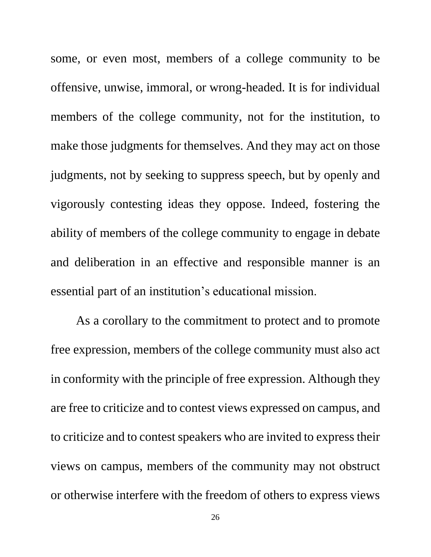some, or even most, members of a college community to be offensive, unwise, immoral, or wrong-headed. It is for individual members of the college community, not for the institution, to make those judgments for themselves. And they may act on those judgments, not by seeking to suppress speech, but by openly and vigorously contesting ideas they oppose. Indeed, fostering the ability of members of the college community to engage in debate and deliberation in an effective and responsible manner is an essential part of an institution's educational mission.

As a corollary to the commitment to protect and to promote free expression, members of the college community must also act in conformity with the principle of free expression. Although they are free to criticize and to contest views expressed on campus, and to criticize and to contest speakers who are invited to express their views on campus, members of the community may not obstruct or otherwise interfere with the freedom of others to express views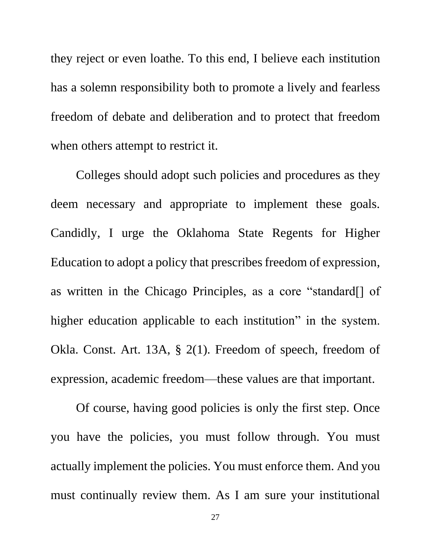they reject or even loathe. To this end, I believe each institution has a solemn responsibility both to promote a lively and fearless freedom of debate and deliberation and to protect that freedom when others attempt to restrict it.

Colleges should adopt such policies and procedures as they deem necessary and appropriate to implement these goals. Candidly, I urge the Oklahoma State Regents for Higher Education to adopt a policy that prescribes freedom of expression, as written in the Chicago Principles, as a core "standard[] of higher education applicable to each institution" in the system. Okla. Const. Art. 13A, § 2(1). Freedom of speech, freedom of expression, academic freedom—these values are that important.

Of course, having good policies is only the first step. Once you have the policies, you must follow through. You must actually implement the policies. You must enforce them. And you must continually review them. As I am sure your institutional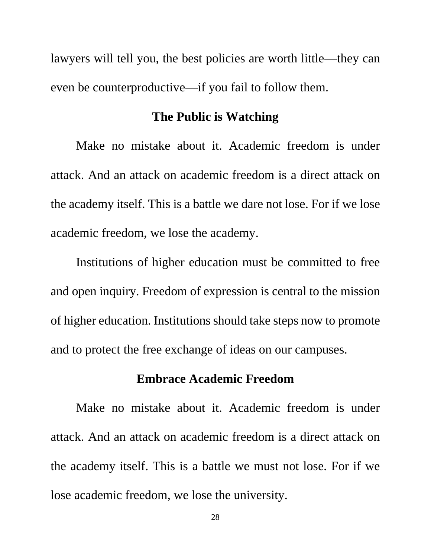lawyers will tell you, the best policies are worth little—they can even be counterproductive—if you fail to follow them.

#### **The Public is Watching**

Make no mistake about it. Academic freedom is under attack. And an attack on academic freedom is a direct attack on the academy itself. This is a battle we dare not lose. For if we lose academic freedom, we lose the academy.

Institutions of higher education must be committed to free and open inquiry. Freedom of expression is central to the mission of higher education. Institutions should take steps now to promote and to protect the free exchange of ideas on our campuses.

## **Embrace Academic Freedom**

Make no mistake about it. Academic freedom is under attack. And an attack on academic freedom is a direct attack on the academy itself. This is a battle we must not lose. For if we lose academic freedom, we lose the university.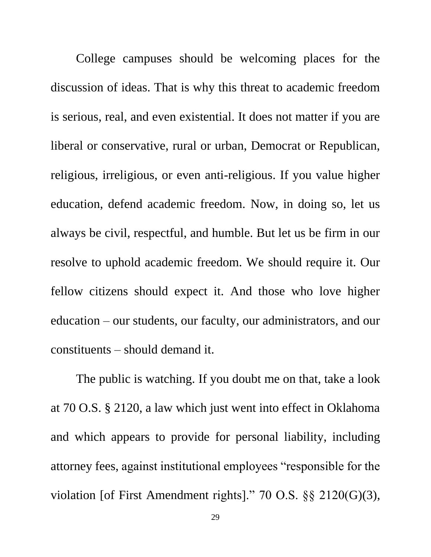College campuses should be welcoming places for the discussion of ideas. That is why this threat to academic freedom is serious, real, and even existential. It does not matter if you are liberal or conservative, rural or urban, Democrat or Republican, religious, irreligious, or even anti-religious. If you value higher education, defend academic freedom. Now, in doing so, let us always be civil, respectful, and humble. But let us be firm in our resolve to uphold academic freedom. We should require it. Our fellow citizens should expect it. And those who love higher education – our students, our faculty, our administrators, and our constituents – should demand it.

The public is watching. If you doubt me on that, take a look at 70 O.S. § 2120, a law which just went into effect in Oklahoma and which appears to provide for personal liability, including attorney fees, against institutional employees "responsible for the violation [of First Amendment rights]." 70 O.S. §§ 2120(G)(3),